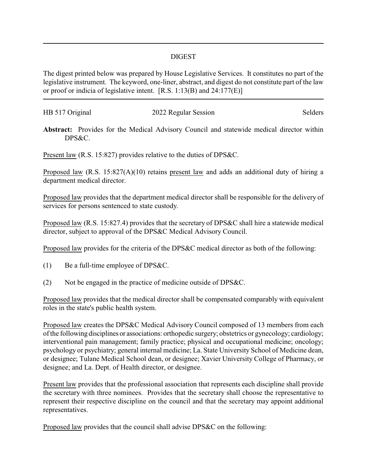## DIGEST

The digest printed below was prepared by House Legislative Services. It constitutes no part of the legislative instrument. The keyword, one-liner, abstract, and digest do not constitute part of the law or proof or indicia of legislative intent. [R.S. 1:13(B) and 24:177(E)]

| HB 517 Original | 2022 Regular Session | Selders |
|-----------------|----------------------|---------|
|                 |                      |         |

**Abstract:** Provides for the Medical Advisory Council and statewide medical director within DPS&C.

Present law (R.S. 15:827) provides relative to the duties of DPS&C.

Proposed law (R.S. 15:827(A)(10) retains present law and adds an additional duty of hiring a department medical director.

Proposed law provides that the department medical director shall be responsible for the delivery of services for persons sentenced to state custody.

Proposed law (R.S. 15:827.4) provides that the secretary of DPS&C shall hire a statewide medical director, subject to approval of the DPS&C Medical Advisory Council.

Proposed law provides for the criteria of the DPS&C medical director as both of the following:

- (1) Be a full-time employee of DPS&C.
- (2) Not be engaged in the practice of medicine outside of DPS&C.

Proposed law provides that the medical director shall be compensated comparably with equivalent roles in the state's public health system.

Proposed law creates the DPS&C Medical Advisory Council composed of 13 members from each of the following disciplines or associations: orthopedic surgery; obstetrics or gynecology; cardiology; interventional pain management; family practice; physical and occupational medicine; oncology; psychology or psychiatry; general internal medicine; La. State University School of Medicine dean, or designee; Tulane Medical School dean, or designee; Xavier University College of Pharmacy, or designee; and La. Dept. of Health director, or designee.

Present law provides that the professional association that represents each discipline shall provide the secretary with three nominees. Provides that the secretary shall choose the representative to represent their respective discipline on the council and that the secretary may appoint additional representatives.

Proposed law provides that the council shall advise DPS&C on the following: